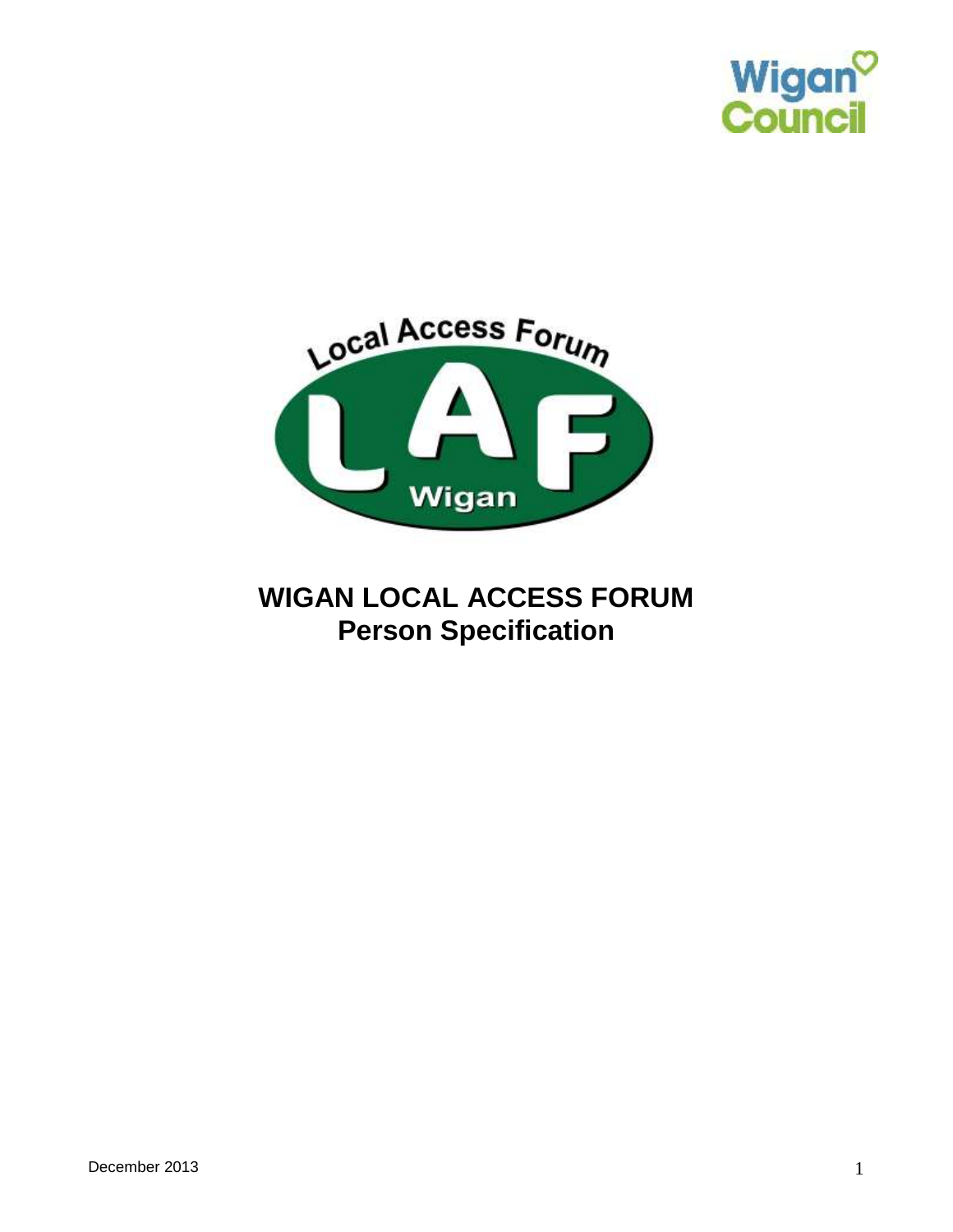



## **WIGAN LOCAL ACCESS FORUM Person Specification**